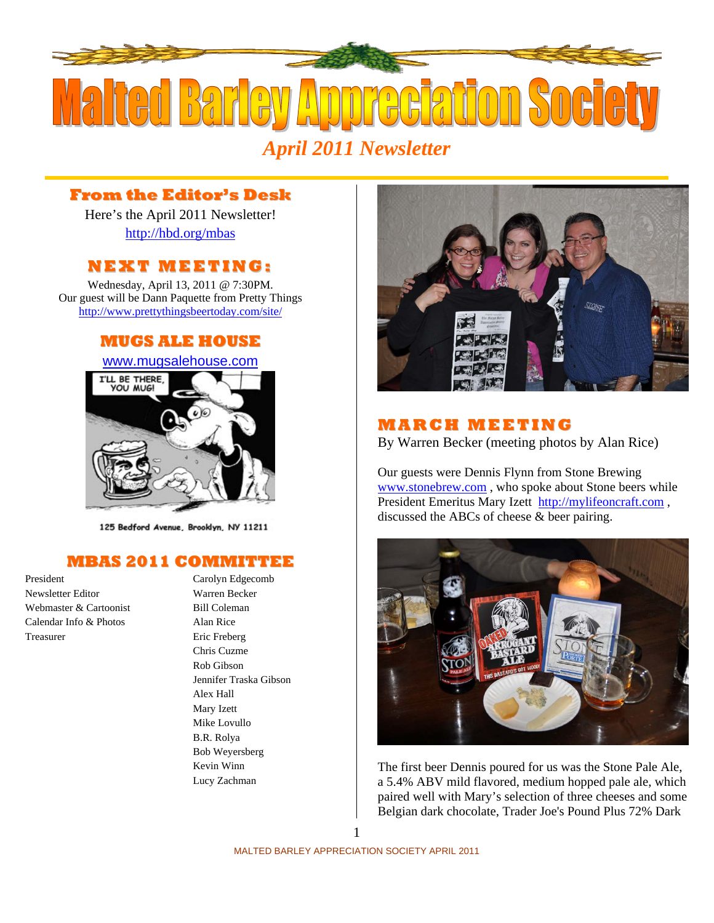

## **From the Editor's Desk**

Here's the April 2011 Newsletter! http://hbd.org/mbas

### **NEXT MEETI NG:**

Wednesday, April 13, 2011 @ 7:30PM. Our guest will be Dann Paquette from Pretty Things http://www.prettythingsbeertoday.com/site/

#### **MUGS ALE HOUSE**

www.mugsalehouse.com I'LL BE THERE, **YOU MUGI** 

125 Bedford Avenue, Brooklyn, NY 11211

#### **MBAS 2011 COMMITTEE**

Newsletter Editor Warren Becker Webmaster & Cartoonist Bill Coleman Calendar Info & Photos Alan Rice Treasurer Eric Freberg

President Carolyn Edgecomb Chris Cuzme Rob Gibson Jennifer Traska Gibson Alex Hall Mary Izett Mike Lovullo B.R. Rolya Bob Weyersberg Kevin Winn Lucy Zachman



## **MAR C H MEETI N G**

By Warren Becker (meeting photos by Alan Rice)

Our guests were Dennis Flynn from Stone Brewing www.stonebrew.com , who spoke about Stone beers while President Emeritus Mary Izett http://mylifeoncraft.com , discussed the ABCs of cheese & beer pairing.



The first beer Dennis poured for us was the Stone Pale Ale, a 5.4% ABV mild flavored, medium hopped pale ale, which paired well with Mary's selection of three cheeses and some Belgian dark chocolate, Trader Joe's Pound Plus 72% Dark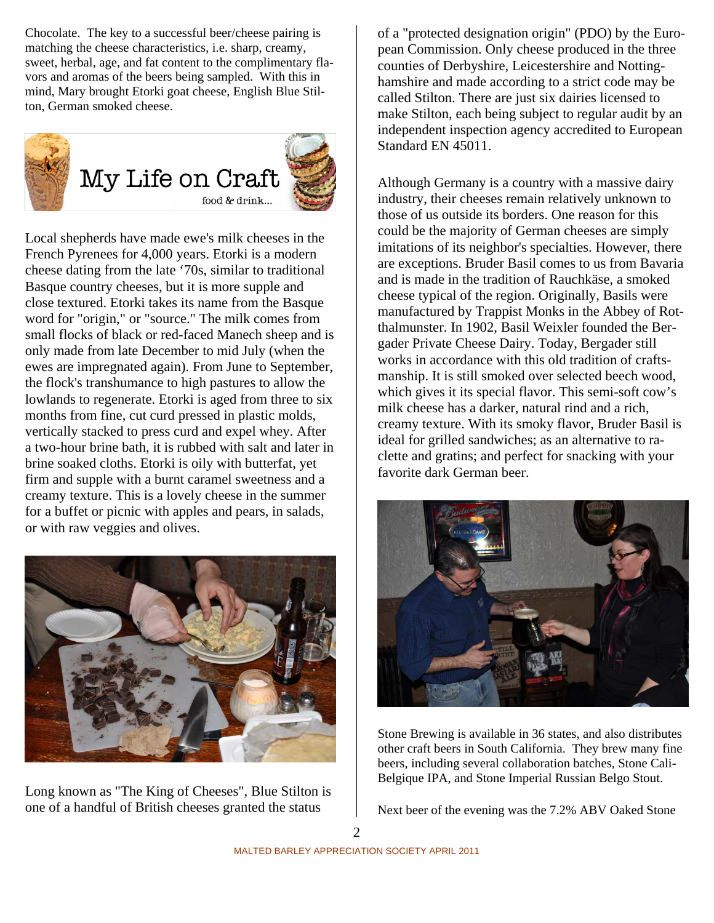Chocolate. The key to a successful beer/cheese pairing is matching the cheese characteristics, i.e. sharp, creamy, sweet, herbal, age, and fat content to the complimentary flavors and aromas of the beers being sampled. With this in mind, Mary brought Etorki goat cheese, English Blue Stilton, German smoked cheese.



Local shepherds have made ewe's milk cheeses in the French Pyrenees for 4,000 years. Etorki is a modern cheese dating from the late '70s, similar to traditional Basque country cheeses, but it is more supple and close textured. Etorki takes its name from the Basque word for "origin," or "source." The milk comes from small flocks of black or red-faced Manech sheep and is only made from late December to mid July (when the ewes are impregnated again). From June to September, the flock's transhumance to high pastures to allow the lowlands to regenerate. Etorki is aged from three to six months from fine, cut curd pressed in plastic molds, vertically stacked to press curd and expel whey. After a two-hour brine bath, it is rubbed with salt and later in brine soaked cloths. Etorki is oily with butterfat, yet firm and supple with a burnt caramel sweetness and a creamy texture. This is a lovely cheese in the summer for a buffet or picnic with apples and pears, in salads, or with raw veggies and olives.



Long known as "The King of Cheeses", Blue Stilton is one of a handful of British cheeses granted the status

of a "protected designation origin" (PDO) by the European Commission. Only cheese produced in the three counties of Derbyshire, Leicestershire and Nottinghamshire and made according to a strict code may be called Stilton. There are just six dairies licensed to make Stilton, each being subject to regular audit by an independent inspection agency accredited to European Standard EN 45011.

Although Germany is a country with a massive dairy industry, their cheeses remain relatively unknown to those of us outside its borders. One reason for this could be the majority of German cheeses are simply imitations of its neighbor's specialties. However, there are exceptions. Bruder Basil comes to us from Bavaria and is made in the tradition of Rauchkäse, a smoked cheese typical of the region. Originally, Basils were manufactured by Trappist Monks in the Abbey of Rotthalmunster. In 1902, Basil Weixler founded the Bergader Private Cheese Dairy. Today, Bergader still works in accordance with this old tradition of craftsmanship. It is still smoked over selected beech wood, which gives it its special flavor. This semi-soft cow's milk cheese has a darker, natural rind and a rich, creamy texture. With its smoky flavor, Bruder Basil is ideal for grilled sandwiches; as an alternative to raclette and gratins; and perfect for snacking with your favorite dark German beer.



Stone Brewing is available in 36 states, and also distributes other craft beers in South California. They brew many fine beers, including several collaboration batches, Stone Cali-Belgique IPA, and Stone Imperial Russian Belgo Stout.

Next beer of the evening was the 7.2% ABV Oaked Stone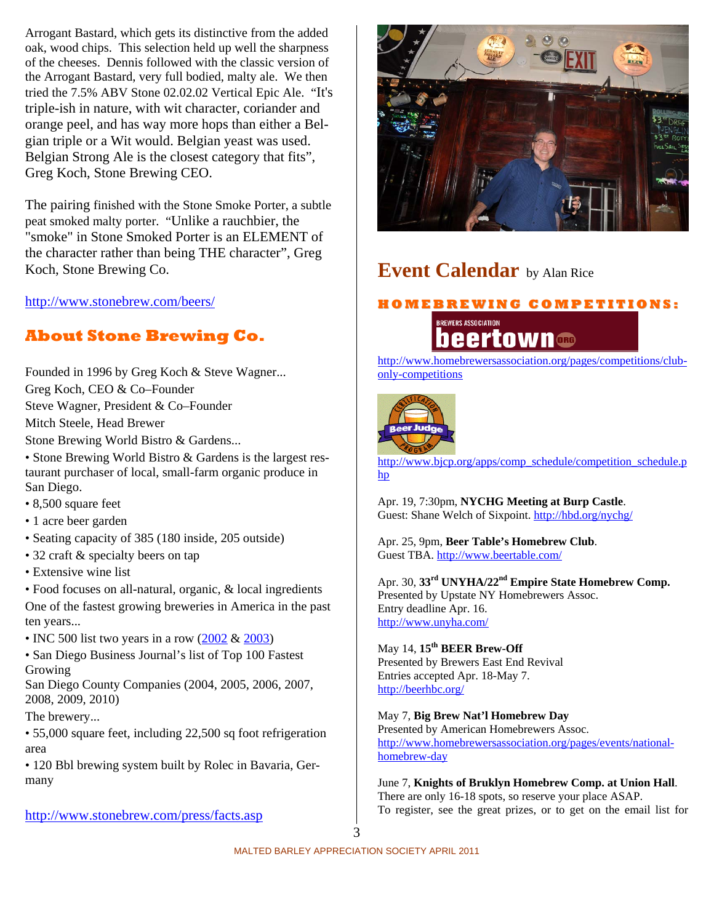Arrogant Bastard, which gets its distinctive from the added oak, wood chips. This selection held up well the sharpness of the cheeses. Dennis followed with the classic version of the Arrogant Bastard, very full bodied, malty ale. We then tried the 7.5% ABV Stone 02.02.02 Vertical Epic Ale. "It's triple-ish in nature, with wit character, coriander and orange peel, and has way more hops than either a Belgian triple or a Wit would. Belgian yeast was used. Belgian Strong Ale is the closest category that fits", Greg Koch, Stone Brewing CEO.

The pairing finished with the Stone Smoke Porter, a subtle peat smoked malty porter. "Unlike a rauchbier, the "smoke" in Stone Smoked Porter is an ELEMENT of the character rather than being THE character", Greg Koch, Stone Brewing Co.

http://www.stonebrew.com/beers/

# **About Stone Brewing Co.**

Founded in 1996 by Greg Koch & Steve Wagner... Greg Koch, CEO & Co–Founder Steve Wagner, President & Co–Founder Mitch Steele, Head Brewer Stone Brewing World Bistro & Gardens... • Stone Brewing World Bistro & Gardens is the largest res-

taurant purchaser of local, small-farm organic produce in San Diego.

- 8,500 square feet
- 1 acre beer garden
- Seating capacity of 385 (180 inside, 205 outside)
- 32 craft & specialty beers on tap
- Extensive wine list

• Food focuses on all-natural, organic, & local ingredients One of the fastest growing breweries in America in the past ten years...

• INC 500 list two years in a row (2002 & 2003)

• San Diego Business Journal's list of Top 100 Fastest Growing

San Diego County Companies (2004, 2005, 2006, 2007, 2008, 2009, 2010)

The brewery...

• 55,000 square feet, including 22,500 sq foot refrigeration area

• 120 Bbl brewing system built by Rolec in Bavaria, Germany

http://www.stonebrew.com/press/facts.asp



# **Event Calendar** by Alan Rice





http://www.homebrewersassociation.org/pages/competitions/clubonly-competitions



http://www.bjcp.org/apps/comp\_schedule/competition\_schedule.p hp

Apr. 19, 7:30pm, **NYCHG Meeting at Burp Castle**. Guest: Shane Welch of Sixpoint. http://hbd.org/nychg/

Apr. 25, 9pm, **Beer Table's Homebrew Club**. Guest TBA. http://www.beertable.com/

Apr. 30, **33rd UNYHA/22nd Empire State Homebrew Comp.** Presented by Upstate NY Homebrewers Assoc. Entry deadline Apr. 16. http://www.unyha.com/

May 14, **15th BEER Brew-Off** Presented by Brewers East End Revival Entries accepted Apr. 18-May 7. http://beerhbc.org/

May 7, **Big Brew Nat'l Homebrew Day**

Presented by American Homebrewers Assoc. http://www.homebrewersassociation.org/pages/events/nationalhomebrew-day

June 7, **Knights of Bruklyn Homebrew Comp. at Union Hall**. There are only 16-18 spots, so reserve your place ASAP. To register, see the great prizes, or to get on the email list for